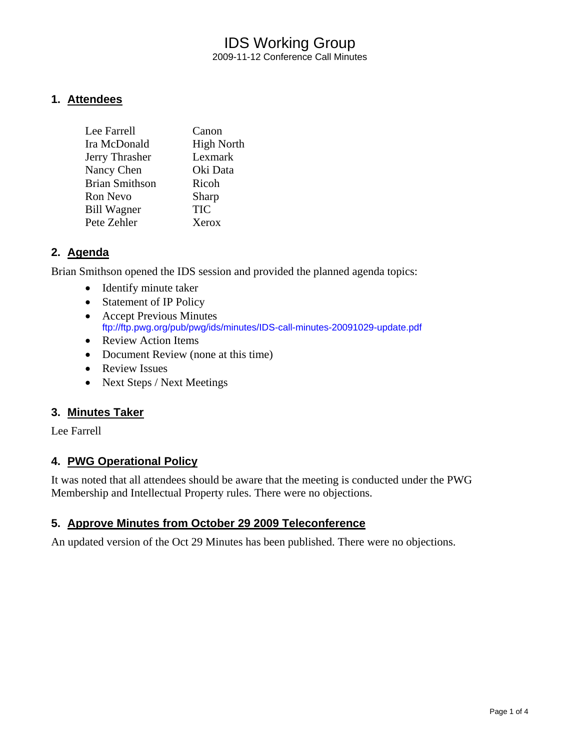# IDS Working Group 2009-11-12 Conference Call Minutes

#### **1. Attendees**

| Lee Farrell           | Canon             |
|-----------------------|-------------------|
| Ira McDonald          | <b>High North</b> |
| Jerry Thrasher        | Lexmark           |
| Nancy Chen            | Oki Data          |
| <b>Brian Smithson</b> | Ricoh             |
| Ron Nevo              | Sharp             |
| <b>Bill Wagner</b>    | <b>TIC</b>        |
| Pete Zehler           | Xerox             |

## **2. Agenda**

Brian Smithson opened the IDS session and provided the planned agenda topics:

- Identify minute taker
- Statement of IP Policy
- Accept Previous Minutes <ftp://ftp.pwg.org/pub/pwg/ids/minutes/IDS-call-minutes-20091029-update.pdf>
- Review Action Items
- Document Review (none at this time)
- Review Issues
- Next Steps / Next Meetings

#### **3. Minutes Taker**

Lee Farrell

#### **4. PWG Operational Policy**

It was noted that all attendees should be aware that the meeting is conducted under the PWG Membership and Intellectual Property rules. There were no objections.

#### **5. Approve Minutes from October 29 2009 Teleconference**

An updated version of the Oct 29 Minutes has been published. There were no objections.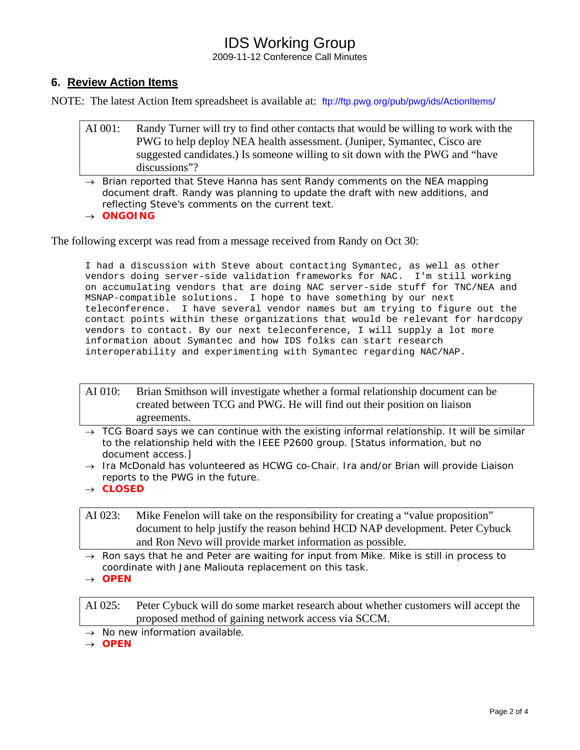# IDS Working Group

2009-11-12 Conference Call Minutes

## **6. Review Action Items**

NOTE: The latest Action Item spreadsheet is available at: <ftp://ftp.pwg.org/pub/pwg/ids/ActionItems/>

- AI 001: Randy Turner will try to find other contacts that would be willing to work with the PWG to help deploy NEA health assessment. (Juniper, Symantec, Cisco are suggested candidates.) Is someone willing to sit down with the PWG and "have discussions"?
- → *Brian reported that Steve Hanna has sent Randy comments on the NEA mapping document draft. Randy was planning to update the draft with new additions, and reflecting Steve's comments on the current text.*
- → *ONGOING*

The following excerpt was read from a message received from Randy on Oct 30:

I had a discussion with Steve about contacting Symantec, as well as other vendors doing server-side validation frameworks for NAC. I'm still working on accumulating vendors that are doing NAC server-side stuff for TNC/NEA and MSNAP-compatible solutions. I hope to have something by our next teleconference. I have several vendor names but am trying to figure out the contact points within these organizations that would be relevant for hardcopy vendors to contact. By our next teleconference, I will supply a lot more information about Symantec and how IDS folks can start research interoperability and experimenting with Symantec regarding NAC/NAP.

- AI 010: Brian Smithson will investigate whether a formal relationship document can be created between TCG and PWG. He will find out their position on liaison agreements.
- → *TCG Board says we can continue with the existing informal relationship. It will be similar to the relationship held with the IEEE P2600 group. [Status information, but no document access.]*
- → *Ira McDonald has volunteered as HCWG co-Chair. Ira and/or Brian will provide Liaison reports to the PWG in the future.*
- → *CLOSED*

AI 023: Mike Fenelon will take on the responsibility for creating a "value proposition" document to help justify the reason behind HCD NAP development. Peter Cybuck and Ron Nevo will provide market information as possible.

- → *Ron says that he and Peter are waiting for input from Mike. Mike is still in process to coordinate with Jane Maliouta replacement on this task.*
- → *OPEN*

AI 025: Peter Cybuck will do some market research about whether customers will accept the proposed method of gaining network access via SCCM.

→ *No new information available.* 

→ *OPEN*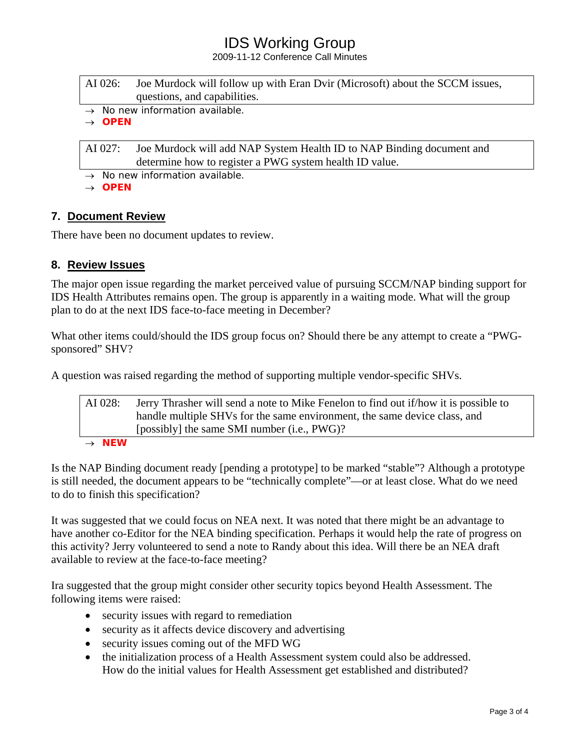# IDS Working Group

2009-11-12 Conference Call Minutes

| AI 026: | Joe Murdock will follow up with Eran Dvir (Microsoft) about the SCCM issues, |
|---------|------------------------------------------------------------------------------|
|         | questions, and capabilities.                                                 |

→ *No new information available.* 

→ *OPEN* 

AI 027: Joe Murdock will add NAP System Health ID to NAP Binding document and determine how to register a PWG system health ID value.

→ *No new information available.* 

→ *OPEN*

## **7. Document Review**

There have been no document updates to review.

# **8. Review Issues**

The major open issue regarding the market perceived value of pursuing SCCM/NAP binding support for IDS Health Attributes remains open. The group is apparently in a waiting mode. What will the group plan to do at the next IDS face-to-face meeting in December?

What other items could/should the IDS group focus on? Should there be any attempt to create a "PWGsponsored" SHV?

A question was raised regarding the method of supporting multiple vendor-specific SHVs.

| AI 028:           | Jerry Thrasher will send a note to Mike Fenelon to find out if how it is possible to |
|-------------------|--------------------------------------------------------------------------------------|
|                   | handle multiple SHVs for the same environment, the same device class, and            |
|                   | [possibly] the same SMI number (i.e., PWG)?                                          |
| $\rightarrow$ NEW |                                                                                      |

Is the NAP Binding document ready [pending a prototype] to be marked "stable"? Although a prototype is still needed, the document appears to be "technically complete"—or at least close. What do we need to do to finish this specification?

It was suggested that we could focus on NEA next. It was noted that there might be an advantage to have another co-Editor for the NEA binding specification. Perhaps it would help the rate of progress on this activity? Jerry volunteered to send a note to Randy about this idea. Will there be an NEA draft available to review at the face-to-face meeting?

Ira suggested that the group might consider other security topics beyond Health Assessment. The following items were raised:

- security issues with regard to remediation
- security as it affects device discovery and advertising
- security issues coming out of the MFD WG
- the initialization process of a Health Assessment system could also be addressed. How do the initial values for Health Assessment get established and distributed?